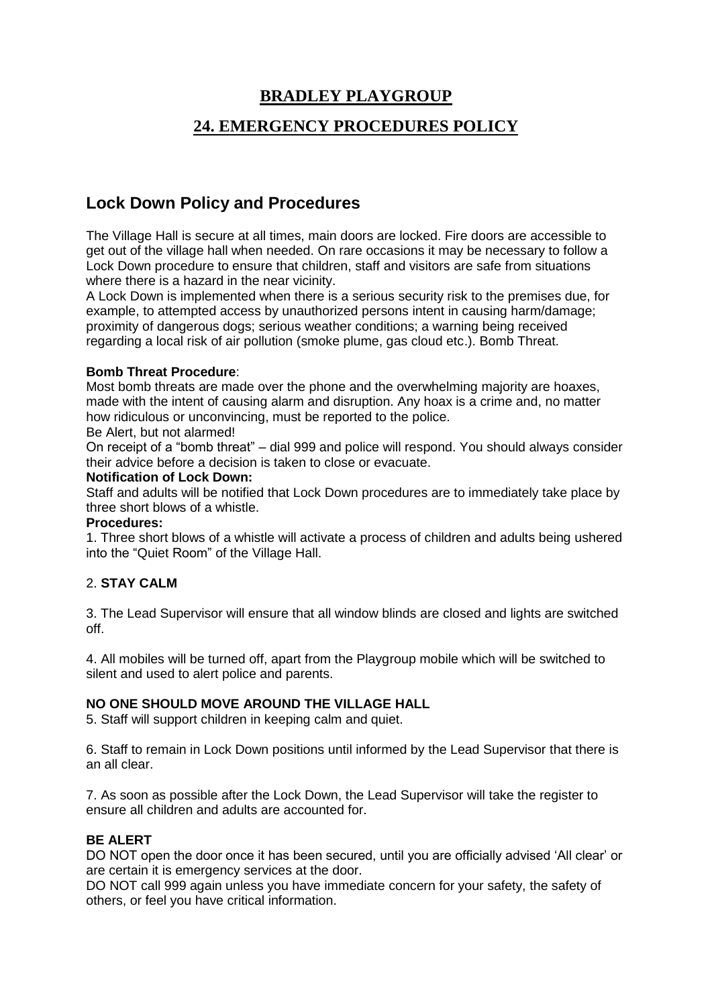# **BRADLEY PLAYGROUP**

# **24. EMERGENCY PROCEDURES POLICY**

# **Lock Down Policy and Procedures**

The Village Hall is secure at all times, main doors are locked. Fire doors are accessible to get out of the village hall when needed. On rare occasions it may be necessary to follow a Lock Down procedure to ensure that children, staff and visitors are safe from situations where there is a hazard in the near vicinity.

A Lock Down is implemented when there is a serious security risk to the premises due, for example, to attempted access by unauthorized persons intent in causing harm/damage; proximity of dangerous dogs; serious weather conditions; a warning being received regarding a local risk of air pollution (smoke plume, gas cloud etc.). Bomb Threat.

#### **Bomb Threat Procedure**:

Most bomb threats are made over the phone and the overwhelming majority are hoaxes, made with the intent of causing alarm and disruption. Any hoax is a crime and, no matter how ridiculous or unconvincing, must be reported to the police.

Be Alert, but not alarmed!

On receipt of a "bomb threat" – dial 999 and police will respond. You should always consider their advice before a decision is taken to close or evacuate.

#### **Notification of Lock Down:**

Staff and adults will be notified that Lock Down procedures are to immediately take place by three short blows of a whistle.

#### **Procedures:**

1. Three short blows of a whistle will activate a process of children and adults being ushered into the "Quiet Room" of the Village Hall.

#### 2. **STAY CALM**

3. The Lead Supervisor will ensure that all window blinds are closed and lights are switched off.

4. All mobiles will be turned off, apart from the Playgroup mobile which will be switched to silent and used to alert police and parents.

#### **NO ONE SHOULD MOVE AROUND THE VILLAGE HALL**

5. Staff will support children in keeping calm and quiet.

6. Staff to remain in Lock Down positions until informed by the Lead Supervisor that there is an all clear.

7. As soon as possible after the Lock Down, the Lead Supervisor will take the register to ensure all children and adults are accounted for.

#### **BE ALERT**

DO NOT open the door once it has been secured, until you are officially advised 'All clear' or are certain it is emergency services at the door.

DO NOT call 999 again unless you have immediate concern for your safety, the safety of others, or feel you have critical information.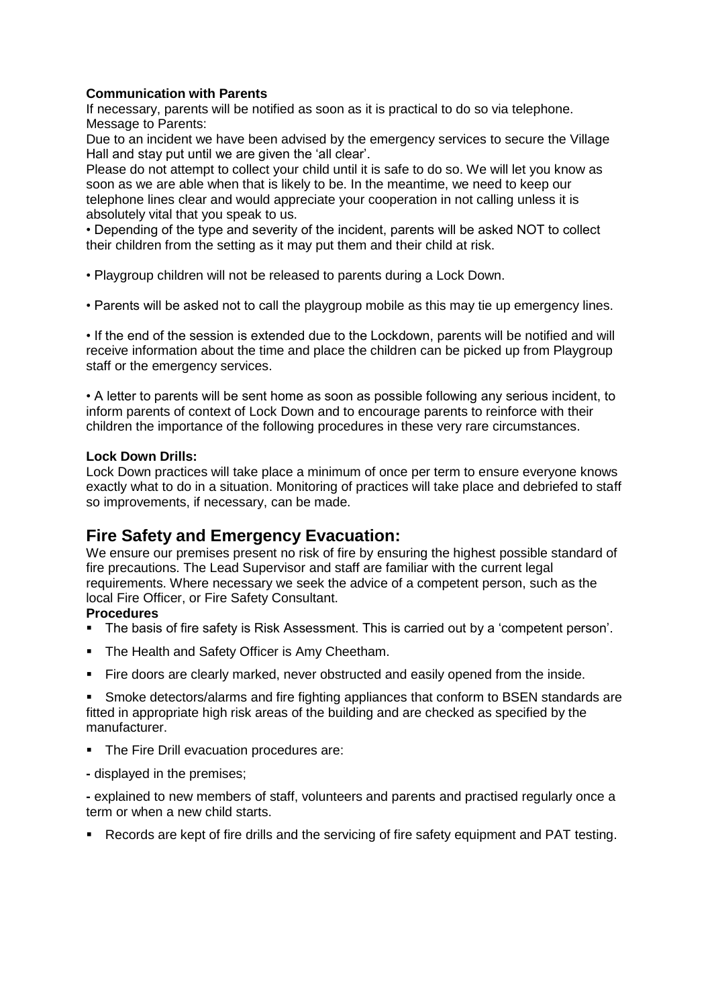#### **Communication with Parents**

If necessary, parents will be notified as soon as it is practical to do so via telephone. Message to Parents:

Due to an incident we have been advised by the emergency services to secure the Village Hall and stay put until we are given the 'all clear'.

Please do not attempt to collect your child until it is safe to do so. We will let you know as soon as we are able when that is likely to be. In the meantime, we need to keep our telephone lines clear and would appreciate your cooperation in not calling unless it is absolutely vital that you speak to us.

• Depending of the type and severity of the incident, parents will be asked NOT to collect their children from the setting as it may put them and their child at risk.

- Playgroup children will not be released to parents during a Lock Down.
- Parents will be asked not to call the playgroup mobile as this may tie up emergency lines.

• If the end of the session is extended due to the Lockdown, parents will be notified and will receive information about the time and place the children can be picked up from Playgroup staff or the emergency services.

• A letter to parents will be sent home as soon as possible following any serious incident, to inform parents of context of Lock Down and to encourage parents to reinforce with their children the importance of the following procedures in these very rare circumstances.

#### **Lock Down Drills:**

Lock Down practices will take place a minimum of once per term to ensure everyone knows exactly what to do in a situation. Monitoring of practices will take place and debriefed to staff so improvements, if necessary, can be made.

# **Fire Safety and Emergency Evacuation:**

We ensure our premises present no risk of fire by ensuring the highest possible standard of fire precautions. The Lead Supervisor and staff are familiar with the current legal requirements. Where necessary we seek the advice of a competent person, such as the local Fire Officer, or Fire Safety Consultant.

#### **Procedures**

- The basis of fire safety is Risk Assessment. This is carried out by a 'competent person'.
- **The Health and Safety Officer is Amy Cheetham.**
- Fire doors are clearly marked, never obstructed and easily opened from the inside.

Smoke detectors/alarms and fire fighting appliances that conform to BSEN standards are fitted in appropriate high risk areas of the building and are checked as specified by the manufacturer.

- **The Fire Drill evacuation procedures are:**
- **-** displayed in the premises;

**-** explained to new members of staff, volunteers and parents and practised regularly once a term or when a new child starts.

▪ Records are kept of fire drills and the servicing of fire safety equipment and PAT testing.